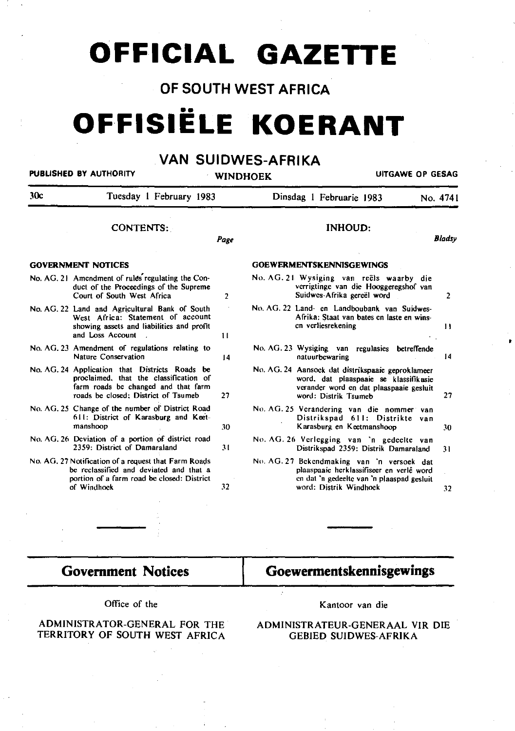## **OFFICIAL GAZETTE**

### OF SOUTH WEST AFRICA

# **OFFISIELE KOERANT**

## VAN SUIDWES-AFRIKA

PUBLISHED BY AUTHORITY

WINDHOEK UITGAWE OP GESAG

•

| 30c<br>Tuesday 1 February 1983<br><b>CONTENTS:</b>                                                                                                                     |                 | Dinsdag 1 Februarie 1983 |                            |                                                       | No. 4741<br><b>Blaasy</b>                                                                                                                                                                                                                                                                                                                                                                                                                                                                                                                                                                                                                                                             |
|------------------------------------------------------------------------------------------------------------------------------------------------------------------------|-----------------|--------------------------|----------------------------|-------------------------------------------------------|---------------------------------------------------------------------------------------------------------------------------------------------------------------------------------------------------------------------------------------------------------------------------------------------------------------------------------------------------------------------------------------------------------------------------------------------------------------------------------------------------------------------------------------------------------------------------------------------------------------------------------------------------------------------------------------|
|                                                                                                                                                                        |                 | <b>INHOUD:</b>           |                            |                                                       |                                                                                                                                                                                                                                                                                                                                                                                                                                                                                                                                                                                                                                                                                       |
| <b>GOVERNMENT NOTICES</b>                                                                                                                                              |                 |                          |                            |                                                       |                                                                                                                                                                                                                                                                                                                                                                                                                                                                                                                                                                                                                                                                                       |
| No. AG. 21 Amendment of rules regulating the Con-<br>duct of the Proceedings of the Supreme<br>Court of South West Africa                                              | 2               |                          | Suidwes-Afrika gereël word |                                                       | $\overline{2}$                                                                                                                                                                                                                                                                                                                                                                                                                                                                                                                                                                                                                                                                        |
| No. AG. 22 Land and Agricultural Bank of South<br>West Africa: Statement of account<br>showing assets and liabilities and profit<br>and Loss Account                   | 11              |                          |                            |                                                       | $\mathbf{1}$                                                                                                                                                                                                                                                                                                                                                                                                                                                                                                                                                                                                                                                                          |
| No. AG. 23 Amendment of regulations relating to<br>Nature Conservation                                                                                                 | $\overline{14}$ |                          | natuurbewaring             |                                                       | 14                                                                                                                                                                                                                                                                                                                                                                                                                                                                                                                                                                                                                                                                                    |
| No. AG. 24 Application that Districts Roads be<br>proclaimed, that the classification of<br>farm roads be changed and that farm<br>roads be closed: District of Tsumeb | 27              |                          | word: Distrik Tsumeb       |                                                       | 27                                                                                                                                                                                                                                                                                                                                                                                                                                                                                                                                                                                                                                                                                    |
| No. AG. 25 Change of the number of District Road<br>611: District of Karasburg and Keet-<br>manshoop                                                                   | 30              |                          | Karasburg en Keetmanshoop  |                                                       | 30                                                                                                                                                                                                                                                                                                                                                                                                                                                                                                                                                                                                                                                                                    |
| No. AG. 26 Deviation of a portion of district road<br>2359. District of Damaraland                                                                                     | 31              |                          |                            |                                                       | 31                                                                                                                                                                                                                                                                                                                                                                                                                                                                                                                                                                                                                                                                                    |
| No. AG, 27 Notification of a request that Farm Roads<br>be reclassified and deviated and that a<br>portion of a farm road be closed: District<br>of Windhoek           | 32              |                          | word: Distrik Windhoek     |                                                       | 32                                                                                                                                                                                                                                                                                                                                                                                                                                                                                                                                                                                                                                                                                    |
|                                                                                                                                                                        |                 | Page                     |                            | <b>GOEWERMENTSKENNISGEWINGS</b><br>en verliesrekening | No. AG. 21 Wysiging van reëls waarby die<br>verrigtinge van die Hooggeregshof van<br>No. AG. 22 Land- en Landboubank van Suidwes-<br>Afrika: Staat van bates en laste en wins-<br>No. AG. 23 Wysiging van regulasies betreffende<br>No. AG. 24 Aansock dat distrikspaaie geproklameer<br>word, dat plaaspaaie se klassifikasie<br>verander word en dat plaaspaaie gesluit<br>No. AG. 25 Verandering van die nommer van<br>Distrikspad 611: Distrikte van<br>No. AG. 26 Verlegging van 'n gedeelte van<br>Distrikspad 2359: Distrik Damaraland<br>No. AG. 27 Bekendmaking van 'n versoek dat<br>plaaspaaie herklassifiseer en verlê word<br>en dat 'n gedeelte van 'n plaaspad gesluit |

## Government Notices

### Goewermentskennisgewings

Office of the

#### ADMINISTRATOR-GENERAL FOR THE TERRITORY OF SOUTH WEST AFRICA

Kantoor van die

ADMINISTRATEUR-GENERAAL VIR DIE GEBIED SUIDWES-AFRIKA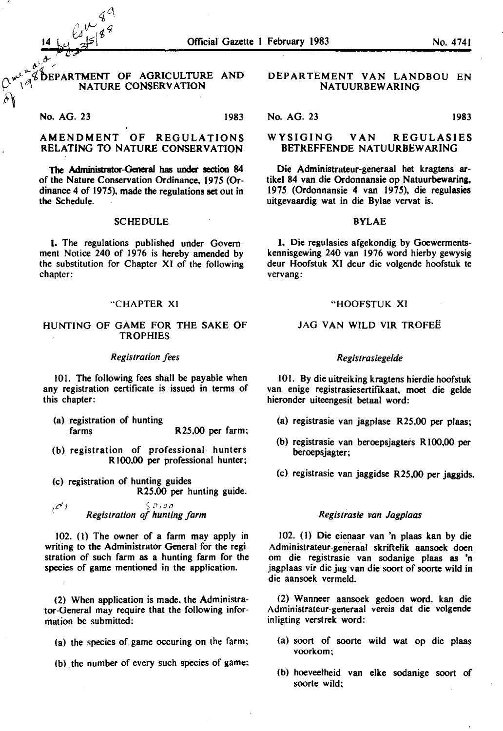#### DEPARTMENT OF AGRICULTURE AND NATURE CONSERVATION

No. AG. 23 1983

يرسكي يمد

~

### AMENDMENT OF REGULATIONS RELATING TO NATURE CONSERVATION

The Administrator-General has under section 84 of the Nature Conservation Ordinance, 1975 (Ordinance  $4$  of 1975), made the regulations set out in the Schedule.

#### **SCHEDULE**

1. The regulations published under Government Notice 240 of 1976 is hereby amended by the substitution for Chapter XI of the following chapter:

#### "CHAPTER XI

#### HUNTING OF GAME FOR THE SAKE OF **TROPHIES**

#### *Registration fees*

101. The following fees shall be payable when any registration certificate is issued in terms of this chapter:

- (a) registration of hunting farms R25.00 per farm:
- (b) registration of professional hunters RIOO,OO per professional hunter:
- (c) registration of hunting guides R25.00 per hunting guide.

 $\overline{\mathscr{C}}'$  ) *Sl,,oo Registration of hunting farm* 

 $102.$  (1) The owner of a farm may apply in writing to the Administrator-General for the registration of such farm as a hunting farm for the species of game mentioned in the application.

(2) When application is made. the Administrator-General may require that the following information be submitted:

- (a) the species of game occuring on the farm:
- (b) the number of every such species of game:

#### DEPARTEMENT VAN LANDBOU EN NATUURBEW ARING

No. AG. 23 1983

#### WYSIGING VAN REGULASIES BETREFFENDE NA TUURBEW ARING

Die Administrateur-generaal het kragtens artikel 84 van die Ordonnansie op Natuurbewaring, 1975 (Ordonnansie 4 van I975), die regulasies uitgevaardig wat in die Bylae vervat is.

#### BYLAE

I. Die regulasies afgekondig by Goewermentskennisgewing 240 van 1976 word hierby gewysig deur Hoofstuk XI deur die volgende hoofstuk te vervang:

#### "HOOFSTUK XI

#### JAG VAN WILD VIR TROFEË

#### *Registrasiege/de*

101. By die uitreiking kragtens hierdie hoofstuk van enige registrasiesertifikaat, moet die gelde hieronder uiteengesit betaal word:

- (a) registrasie van jagplase R25.00 per plaas;
- (b) registrasie van beroepsjagters RIOO,OO per beroepsjagter;
- (c) registrasie van jaggidse R25,00 per jaggids.

#### *Registrasie van Jagplaas*

I 02. (I) Die eienaar van 'n plaas kan by die Administrateur-generaal skriftelik aansoek doen om die registrasie van sodanige plaas as 'n jagplaas vir die jag van die soort of soorte wild in die aansoek vermeld.

(2) Wanneer aansoek gedoen word. kan die Administrateur-generaal vereis dat die volgende inligting verstrek word:

- (a) soort of soorte wild wat op die plaas voorkom:
- (b) hoeveelheid van elke sodanige soort of soorte wild: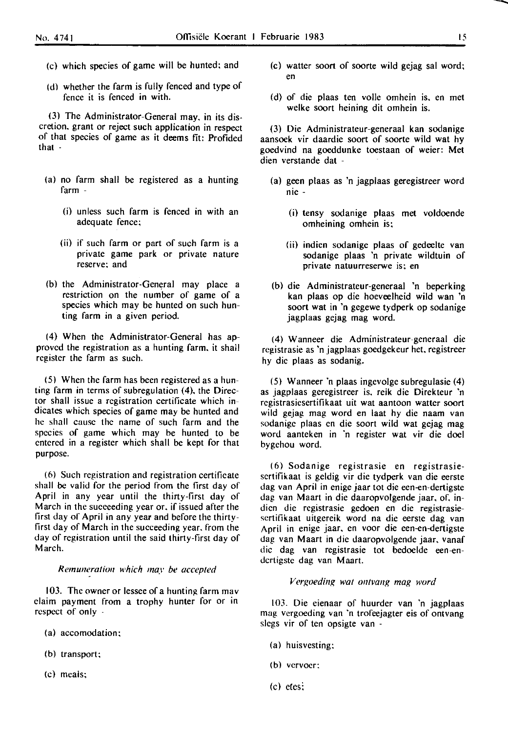~

- (c) which species of game will be hunted; and
- (d) whether the farm is fully fenced and type of fence it is fenced in with.

(3) The Administrator-General may, in its discretion. grant or reject such application in respect of that species of game as it deems fit: Profided that -

- (a) no farm shall be registered as a hunting farm -
	- (i) unless such farm is fenced in with an adequate fence;
	- (ii) if such farm or part of such farm is a private game park or private nature reserve; and
- (b) the Administrator-General may place a restriction on the numher of game of a species which may be hunted on such hunting farm in a given period.

(4) When the Administrator-General has approved the registration as a hunting farm. it shall register the farm as such.

(5) When the farm has been registered as a hunting farm in terms of subregulation (4). the Director shall issue a registration certificate which indicates which species of game may be hunted and he shall cause the name of such farm and the species of game which may be hunted to be entered in a register which shall be kept for that purpose.

(6) Such registration and registration certificate shall be valid for the period from the first day of April in any year until the thirty-first day of March in the succeeding year or. if issued after the first day of April in any year and before the thirtyfirst day of March in the succeeding year. from the day of registration until the said thirty-first day of March.

#### *Remuneralion which may be accepled*

103. The owner or lessee of a hunting farm mav claim payment from a trophy hunter for or in respect of only

- (a) accomodation;
- (b) transport;
- (c) meals;
- (c) walter soort of soorte wild gejag sal word; en
- (d) of die plaas ten voile omhein is, en met welke soort heining dit omhein is.

(3) Die Administrateur-generaal kan sodanige aansock vir daardie soort of soorte wild wat hy goedvind na gocddunke tocstaan of weier: Met dien verstande dat -

- (a) geen plaas as 'n jagplaas geregistreer word nie -
	- (i) tensy sodanige plaas met voldocnde omheining omhein is;
	- (ii) indien sodanige plaas of gedeelte van sodanige plaas 'n private wildtuin of private natuurreserwe is; en
- (b) die Administrateur-generaal 'n beperking kan plaas op die hoeveelheid wild wan 'n soort wat in 'n gegewe tydperk op sodanige jagplaas gejag mag word.

(4) Wanneer die Administrateur-generaal die registrasie as 'n jagplaas goedgekeur het, registreer hy die plaas as sodanig.

(5) Wanneer 'n plaas ingevolge subregulasie (4) as jagplaas geregistreer is, reik die Direkteur 'n rcgistrasiesertifikaat uit wat aantoon walter soort wild gejag mag word en laat hy die naam van sodanigc plaas en die soort wild wat gejag mag word aanteken in 'n register wat vir die docl bygehou word.

(6) Sodanige registrasie en registrasiescrtifikaat is geldig vir die tydperk van die eerste dag van April in enige jaar tot die een-en-dertigste dag van Maart in die daaropvolgende jaar, of, indicn die registrasie gedocn en die registrasiesertifikaat uitgereik word na die eerste dag van April in enige jaar, en voor die een-en-dertigste dag van Maart in die daaropvolgende jaar, vanaf die dag van registrasie tot bedoclde een-endcrtigste dag van Maart.

#### $V$ ergoeding wat ontvang mag word

103. Die eienaar of huurder van 'n jagplaas mag vergocding van 'n trofeejagter eis of ontvang slcgs vir of ten opsigte van -

- (a) huisvesting:
- (b) vervoer:
- $(c)$  ctes: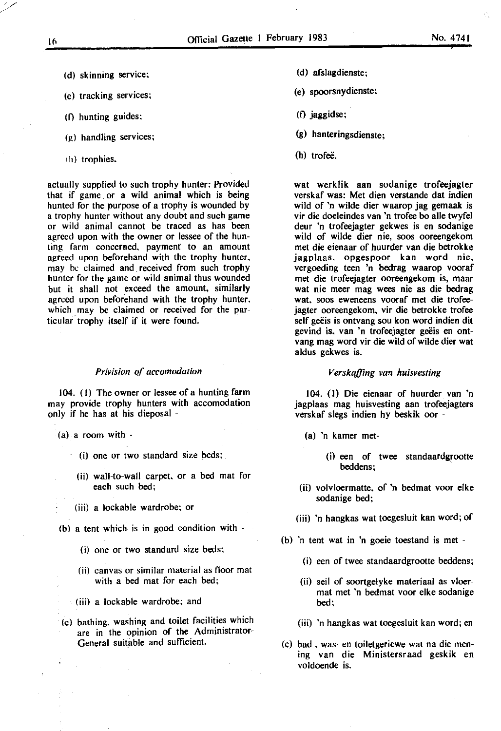- (d) skinning service;
- (c) tracking services;
- (I) hunting guides;
- $(g)$  handling services;
- 'h) trophies.

actually supplied to such trophy hunter: Provided that if game or a wild animal which is being hunted for the purpose of a trophy is wounded by a trophy hunter without any doubt and such game or wild animal cannot be traced as has been agreed upon with the owner or lessee of the hunting farm concerned, payment to an amount agreed upon beforehand with the trophy hunter. may be claimed and received from such trophy hunter for the game or wild animal thus wounded but it shall not exceed the amount, similarly agreed upon beforehand with the trophy hunter. which may be claimed or received for the particular trophy itself if it were found.

#### *Privision of accomodation*

104. (1) The owner or lessee of a hunting farm may provide trophy hunters with accomodation only if he has at his dieposal -

- $(a)$  a room with -
	- (i) one or two standard size beds;
	- (ii) wall-to-wall carpet. or a bed mat for each such bed;
	- (iii) a lockable wardrobe; or
- (b) a tent which is in good condition with
	- (i) one or two standard size beds;
	- (ii) canvas or similar material as floor mat with a bed mat for each bed;
	- (iii) a lockable wardrobe; and
- (c) bathing. washing and toilet facilities which are in the opinion of the Administrator-General suitable and sufficient.
- (d) afsfagdienste;
- (e) spoorsnydienste;
- $(f)$  jaggidse;
- (g) hanteringsdienste;
- (h) trofeë.

wat werklik aan sodanige trofeejagter verskaf was: Met dien verstande dat indien wild of 'n wilde dier waarop jag gemaak is vir die doeleindes van 'n trofee bo aile twyfel deur 'n trofeejagter gekwes is en sodanige wild of wilde dier nie, soos ooreengekom met die eienaar of huurder van die betrokke jagplaas. opgespoor kan word nie, vergoeding teen 'n bedrag waarop vooraf met die trofeejagter ooreengekom is, maar wat nie meer mag wees nie as die bedrag wat. soos eweneens vooraf met die trofeejagter ooreengekom. vir die betrokke trofee self geëis is ontvang sou kon word indien dit gevind is, van 'n trofeejagter geëis en ontvang mag word vir die wild of wilde dier wat aldus gekwes is.

#### *Verskaffing van huisvesting*

104. (1) Die eienaar of huurder van 'n jagplaas mag huisvesting aan trofeejagters verskaf slegs indien hy beskik oor -

- (a) 'n kamer met-
	- (i) een of twee standaardgrootte beddens;
- (ii) volvloermatte. of 'n bedmat voor elke sodanige bed;
- (iii) 'n hangkas wat toegesluit kan word; of
- (b) 'n tent wat in 'n goeie toestand is met
	- (i) een of twee standaardgrootte beddens;
	- (ii) seil of soortgelyke materiaal as vloermat met 'n bedmat voor elke sodanige bed;
	- (iii) 'n hangkas wat toegesluit kan word; en
- (c) bad-. was- en toiletgeriewe wat na die mening van die Ministersraad geskik en voldoende is.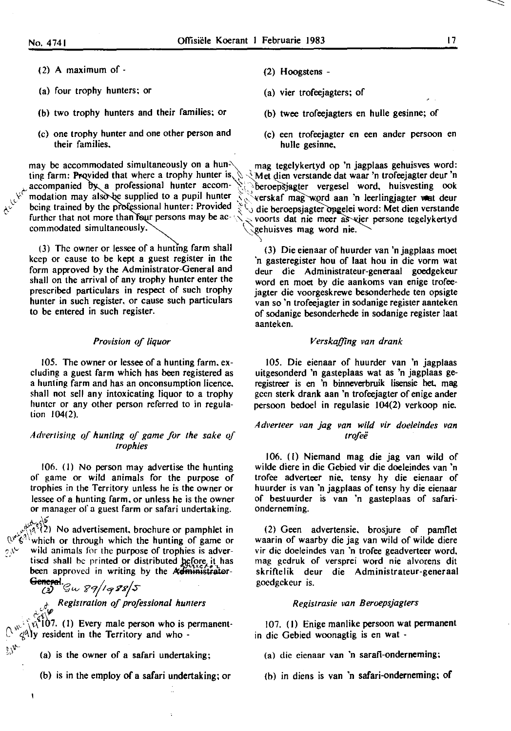- ( 2) A maximum of -
- (a) four trophy hunters; or
- (b) two trophy hunters and their families; or
- (c) one trophy hunter and one other person and their families.

(3) The owner or lessee of a hunting farm shall keep or cause to be kept a guest register in the form approved by the Administrator-General and shall on the arrival of any trophy hunter enter the prescribed particulars in respect of such trophy hunter in such register, or cause such particulars to be entered in such register.

#### *Provision of liquor*

105. The owner or lessee of a hunting farm. excluding a guest farm which has been registered as a hunting farm and has an onconsumption licence. shall not sell any intoxicating liquor to a trophy hunter or any other person referred to in regulation 104(2).

#### *Adl'erlising q{ hunting of game for the sake of /rophies*

106. (I) No person may advertise the hunting of game or wild animals for the purpose of trophies in the Territory unless he is the owner or lessee of a hunting farm. or unless he is the owner or manager of a guest farm or safari undertaking.

 $\mathbb{A}^{\mathcal{C}}(2)$  No advertisement, brochure or pamphlet in  $\mathbb{Q}^{\mathcal{P}} \mathbf{\check{C}}^{(1)}$  which or through which the hunting of game or  $\mathcal{P}_{\mathcal{P}}$  wild animals for the purpose of trophies is adverwild animals for the purpose of trophies is advertised shall be printed or distributed before it has been approved in writing by the **Administrator-**

**General**.  $\mathcal{G}_\mu$   $\mathcal{G}_7$ /  $\mathcal{G}_8$   $\mathcal{G}_8$ /5

f *Regis/ration of professional hunlers* 

 $\sqrt{\alpha^2}$ 107. (1) Every male person who is permanent- $\mathcal{A}^{\mathcal{A}}$ ly resident in the Territory and who -

- $(a)$  is the owner of a safari undertaking;
- (b) is in the employ of a safari undertaking; or
- (2) Hoogstens -
- (a) vier trofeejagters; of
- (b) twee trofeejagters en hulle gesinne; of
- (c) een trofeejagter en een ander persoon en bulle gesinne.

may be accommodated simultaneously on a hun-<br>ting farm: Provided that where a trophy hunter is,  $\Diamond \Diamond$  Met dien verstande dat waar 'n trofeejagter deur 'n ting farm: Provided that where a trophy hunter is,  $\Diamond \Diamond$  Met dien verstande dat waar 'n trofeejagter deur 'n accompanied by a professional hunter accom-  $\Diamond \Diamond$  beroepsiagter vergesel word, huisvesting ook accompanied by a professional hunter accom-  $\aleph$  beroep sjagter vergesel word, huisvesting ook modation may also be supplied to a pupil hunter  $\aleph$  verskaf mag word aan 'n leerlingiagter wat deur modation may also be supplied to a pupil hunter  $\mathcal{R}$  verskaf mag word aan 'n leerlingjagter wat deur being trained by the professional hunter: Provided  $\mathcal{R}$ , die beroensjagter opgelei word: Met dien verstande being trained by the professional hunter: Provided  $\zeta$ , die beroepsjagter opgelei word: Met dien verstande further that not more than four persons may be ac- $\zeta$ , voorts dat nie meer as vier persone tegelykertyd further that not more than four persons may be ac-  $\leq$  voorts dat nie meer as vier persone tegelykertyd commodated simultaneously. gehuisves mag word nie.

> (3) Die eienaar of huurder van 'n jagplaas moet 'n gasteregister hou of laat hou in die vorm wat deur die Administrateur-generaal goedgekeur word en moet by die aankoms van enige trofeejagter die voorgeskrewe besonderhede ten opsigte van so 'n trofeejagter in sodanige register aanteken of sodanige besonderhede in sodanige register laat aanteken.

#### *Verskaffing van drank*

105. Die eienaar of huurder van 'n jagplaas uitgesonderd 'n gasteplaas wat as 'n jagplaas geregistreer is en 'n binneverbruik lisensie het. mag gcen sterk drank aan 'n trofeejagter of enige ander persoon bedoel in regulasie 104(2) verkoop nie.

#### *A dt•er/eer van jag van wild vir doeleindes van trofei!*

106. (I) Niemand mag die jag van wild of wilde diere in die Gebied vir die doeleindes van 'n trofee adverteer nie. tensy hy die eienaar of huurder is van 'n jagplaas of tensy hy die eienaar of bestuurder is van 'n gasteplaas of safarionderneming.

(2) Geen advertensie, brosjure of pamflet waarin of waarby die jag van wild of wilde diere vir die doeleindes van 'n trofee geadverteer word. mag gedruk of versprei word nie alvorens dit skriftelik deur die Administrateur-generaal goedgckeur is.

#### *Regislrasie van Beroepsjagters*

107. (I) Enige manlike persoon wat permanent in die Gebied woonagtig is en wat -

- (a) die eienaar van 'n sarafi-onderneming;
- (b) in diens is van 'n safari-onderneming; of

ï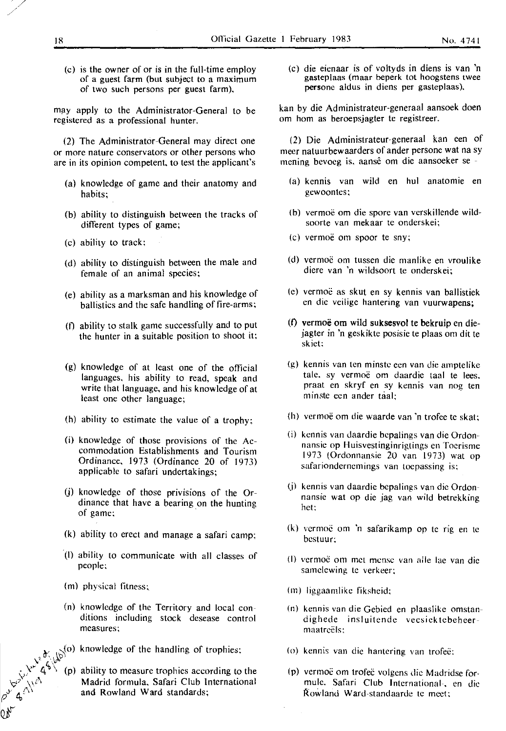(c) is the owner of or is in the full-time employ of a guest farm (but subject to a maximum of two such persons per guest farm),

may apply to the Administrator-General to be registered as a professional hunter.

(2) The Administrator-General may direct one or more nature conservators or other persons who are in its opinion competent, to test the applicant's

- (a) knowledge of game and their anatomy and habits;
- (b) ability to distinguish between the tracks of different types of game;
- (c) ability to track;
- (d) ability to distinguish between the male and female of an animal species;
- (e) ability as a marksman and his knowledge of ballistics and the safe handling of fire-arms;
- (f) ability to stalk game successfully and to put the hunter in a suitable position to shoot it:
- (g) knowledge of at least one of the official languages, his ability to read, speak and write that language, and his knowledge of at least one other language:
- (h) ability to estimate the value of a trophy;
- (i) knowledge of those provisions of the Accommodation Establishments and Tourism Ordinance, 1973 (Ordinance 20 of 1973) applicable to safari undertakings;
- (j) knowledge of those privisions of the Or-· dinance that have a bearing on the hunting of game;
- (k) ability to erect and manage a safari camp;
- -(I) ability to communicate with all classes of people:
- (m) physical fitness:

Bouleva

- (n) knowledge of the Territory and local conditions including stock desease control **measures;**
- knowledge of the handling of trophies:
- ability to measure trophies according to the Madrid formula. Safari Club International and Rowland Ward standards;

(c) die eienaar is of voltyds in diens is van 'n gasteplaas (maar beperk tot hoogstens twee persone aldus in diens per gasteplaas),

kan by die Administrateur-generaal aansoek doen om hom as beroepsjagter te registreer.

(2) Die Administrateur-generaal kan een of meer natuurbewaarders of ander persone wat na sy mcning bcvocg is, aanse om die aansoeker se -

- (a) kcnnis van wild en hul anatomic en gewoontes;
- (b) vermoë om die spore van verskillende wildsoorte van mekaar te onderskei;
- (c) vermoe om spoor te sny;
- (d) vermoe om tussen die manlike en vroulike diere van 'n wildsoort te onderskei;
- (c) vermoe as skut en sy kennis van ballistiek en die veilige hantering van vuurwapens;
- (t) vermoe om wild suksesvol te bekruip en diejagter in 'n geskikte posisie te plaas om dit te skict:
- (g) kennis van ten minstc ecn van die amptelike tale, sy vermoë om daardie taal te lees. praat en skryf en sy kennis van nog ten minste ecn ander taal;
- (h) vermoe om die waarde van 'n trofee te skat:
- (i) kennis van Jaardie bcpalings van die Ordon**nansic op Huisvestinginrigtings en Toerisme**  1973 (Ordonnansie 20 van 1973) wat op safarionderncmings van toepassing is;
- (j) kennis van daardie bepalings van die Ordonnansic wat op die jag van wild betrekking hct:
- (k) vermoë om 'n safarikamp op te rig en te bcstuur;
- (1) vermoë om met mense van alle lae van die **samclcwing te verkeer;**
- (m) liggaamlike fiksheid;
- (n) kennis van die Gebied en plaaslikc omstandighede insluitende vecsiektebeheermaatreëls:
- (o) kennis van die hantcring van trofee:
- (p) vermoë om trofeë volgens die Madridse formule. Safari Club International-. en die Rowland Ward-standaarde tc meet:

'/

/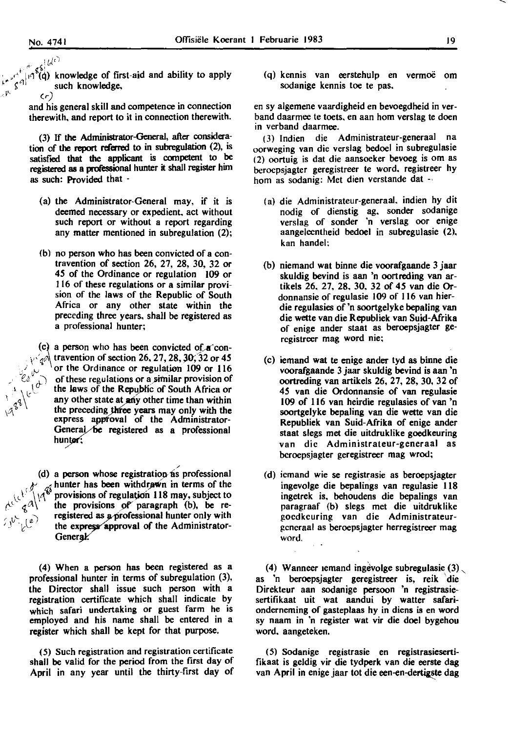$\sqrt{2}$ 

 $\sigma_{\rm eff}^{\rm (He)}$  $\int_{\mathbb{R}^3} e^{i\theta}$  in  $\int_0^{\infty}$  i(q) knowledge of first-aid and ability to apply  $\int_{\mathbb{R}^N}$   $\int_{\mathbb{R}^N}$  such knowledge,

> and his general skill and competence in connection therewith, and report to it in connection therewith.

(3) If the Administrator-General, after consideration of the report referred to in subregulation (2), is satisfied that the applicant is competent to be registered as a professional hunter it shall register him as such: Provided that -

- (a) the Administrator-General may, if it is deemed necessary or expedient. act without such report or without a report regarding any matter mentioned in subregulation (2);
- (b) no person who has been convicted of a contravention of section 26, 27, 28, 30, 32 or *45* of the Ordinance or regulation 109 or 116 of these regulations or a similar provision of the laws of the Republic of South Africa or any other state within the preceding three years, shall be registered as a professional hunter;

(c) a person who has been convicted of  $A$  contravention of section 26, 27, 28, 30, 32 or 45 or the Ordinance or regulation 109 or 116 of these regulations or a similar provision of the laws of the Republic of South Africa or any other state at any other time than within the preceding three years may only with the express approval of the Administrator-General be registered as a professional hunter;

(d) a person whose registration as professional *d-'* '(}hunter has been withd~n in terms of the provisions of regulation 118 may, subject to the provisions of paragraph (b), be re $registered$  as a professional hunter only with the express approval of the Administrator-General.

/

(4) When a person has been registered as a professional hunter in terms of subregulation (3), the Director shall issue such person with a registration certificate which shall indicate by which safari undertaking or guest farm he is employed and his name shall be entered in a register which shall be kept for that purpose.

( 5) Such registration and registration certificate shall be valid for the period from the first day of April in any year until the thirty-first day of (q) kennis van eerstehulp en vermoe om sodanige kennis toe te pas.

en sy algemene vaardigheid en bevoegdheid inverband daarmee te toets. en aan hom verslag te doen in verband daarmee.

( 3) lndien die Administrateur-generaal na oorweging van die verslag bedoel in subregulasie (2) oortuig is dat die aansoeker bevoeg is om as berocpsjagter geregistreer te word. registreer hy hom as sodanig: Met dien verstande dat -·

- (a) die Administrateur-generaal. indien hy dit nodig of dienstig ag. sonder sodanige verslag of sonder 'n verslag oor enige aangeleentheid bedoel in subregulasie (2). kan handel:
- (b) niemand wat binne die voorafgaande 3 jaar skuldig bevind is aan 'n oortreding van artikels 26. 27, 28. 30. 32 of *45* van die Ordonnansie of regulasie 109 of 116 van hierdie regulasies of 'n soortgelyke bepaling van die wette van die Republiek van Suid-Afrika of enige ander staat as beroepsjagter gercgistreer mag word nie;
- (c) iemand wat te enige ander tyd as binne die voorafgaande 3 jaar skuldig bevind is aan 'n oortreding van artikels 26, 27, 28, 30, 32 of *45* van die Ordonnansie of van regulasie I 09 of 116 van heirdie regulasies of van 'n soortgelyke bepaling van die wette van die Republiek van Suid-Afrika of enige ander staat slegs met die uitdruklike goedkeuring van die Administrateur-generaal as bcroepsjagter geregistreer mag wrod;
- (d) icmand wie se registrasie as beroepsjagter ingevolge die bepalings van regulasie 118 ingetrek is, behoudens die bepalings van paragraaf (b) slegs met die uitdruklike gocdkcuring van die Administrateurgcncraal as beroepsjagter herregistreer mag word.

(4) Wanneer temand ingevolge subregulasie  $(3)$ , as 'n beroepsjagter geregistreer is, reik 'die Direkteur aan sodanige persoon 'n registrasiesertifikaat uit wat aandui by watter safarionderneming of gasteplaas hy in diens is en word sy naam in 'n register wat vir die doel bygehou word. aangeteken.

( 5) Sodanige registrasie en registrasiesertifikaat is geldig vir die tydperk van die eerste dag van April in enige jaar tot die een-en-dertigste dag

-....\_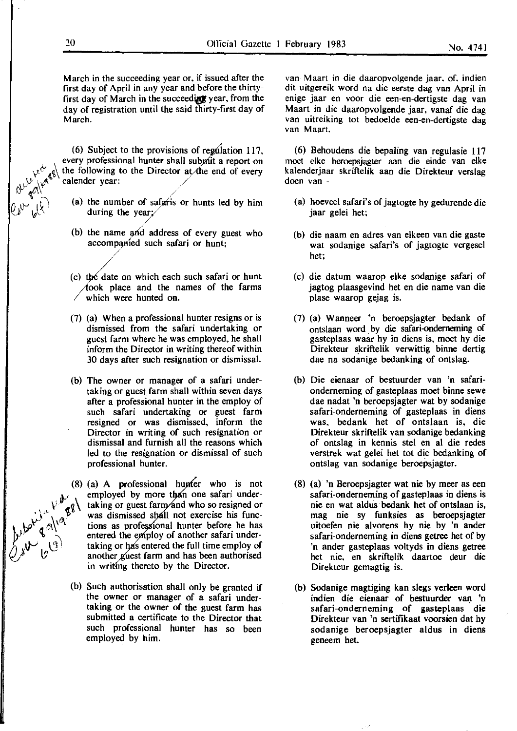March in the succeeding year or. if issued after the first day of April in any year and before the thirtyfirst day of March in the succeeding year, from the day of registration until the said thirty-first day of March.

(6) Subject to the provisions of regulation 117, every professional hunter shall submit a report on the following to the Director at the end of every  $cal$ realender year:

- (a) the number of safaris or hunts led by him during the year;/
- (b) the name and address of every guest who accompanied such safari or hunt;

/

- (c) the date on which each such safari or hunt  $\pi$  (took place and the names of the farms which were hunted on.
- (7} (a) When a professional hunter resigns or is dismissed from the safari undertaking or guest farm where he was employed, he shall inform the Director in writing thereof within 30 days after such resignation or dismissal.
- (b) The owner or manager of a safari undertaking or guest farm shall within seven days after a professional hunter in the employ of such safari undertaking or guest farm resigned or was dismissed, inform the Director in writing of such resignation or dismissal and furnish all the reasons which led to the resignation or dismissal of such professional hunter.

(8) (a) A professional hunder who is not employed by more than one safari under-<br>  $\begin{bmatrix}\n\frac{1}{2} & \frac{1}{2} & \frac{1}{2} \\
\frac{1}{2} & \frac{1}{2} & \frac{1}{2}\n\end{bmatrix}$  taking or guest farm and who so resigned or<br>
use dismissed shall not exerci employed by more than one safari undertaking or guest farm and who so resigned or was dismissed shall not exercise his functions as professional hunter before he has entered the employ of another safari undertaking or has entered the full time employ of another guest farm and has been authorised in writing thereto by the Director.

> (b) Such authorisation shall only be granted if the owner or manager of a safari undertaking or the owner of the guest farm has submitted a certificate to the Director that such professional hunter has so been employed by him.

van Maart in die daaropvolgende jaar. of. indien dit uitgereik word na die eerste dag van April in enige jaar en voor die een-en-dertigste dag van Maart in die daaropvolgende jaar, vanaf die dag van uitreiking tot bedoelde een-en-dertigste dag van Maart.

(6} Behoudens die bepaling van regulasie 117 moct clkc beroepsjagter aan die einde van elke kalenderjaar skriftelik aan die Direkteur verslag doen van -

- (a} hoeveel safari's of jagtogte hy gedurende die jaar gelei het;
- (b) die naam en adres van elkeen van die gaste wat sodanige safari's of jagtogte vergesel het;
- (c) die datum waarop elke sodanige safari of jagtog plaasgevind het en die name van die plase waarop gejag is.
- (7} (a} Wanneer 'n beroepsjagter bedank of ontslaan word by die safari-ondernerning of gasteplaas waar hy in diens is, moet hy die Direkteur skriftelik verwittig binne dertig dae na sodanige bedanking of ontslag.
- (b) Die eienaar of bestuurder van 'n safarionderneming of gasteplaas moet binne sewe dae nadat 'n beroepsjagter wat by sodanige safari-onderneming of gasteplaas in diens was. bedank het of ontslaan is, die Direkteur skriftelik van sodanige bedanking of ontslag in kennis stel en al die redes verstrek wat gelei het tot die bedanking of ontslag van sodanige beroepsjagter.
- (8) (a} 'n Beroepsjagter wat nie by meer as een safari-ondernerning of gasteplaas in diens is nie en wat aldus bedank het of ontslaan is, mag nie sy funksies as beroepsjagter uitoefen nie alvorens hy nie by 'n ander safari-onderneming in diens getree het of by 'n ander gasteplaas voltyds in diens getree het nie. en skriftelik daartoe deur die Direkteur gemagtig is.
- (b) Sodanige magtiging kan slegs verleen word indien die eienaar of bestuurder van 'n safari-onderneming of gasteplaas die Direkteur van 'n sertifikaat voorsien dat hy sodanige beroepsjagter aldus in diens geneem het.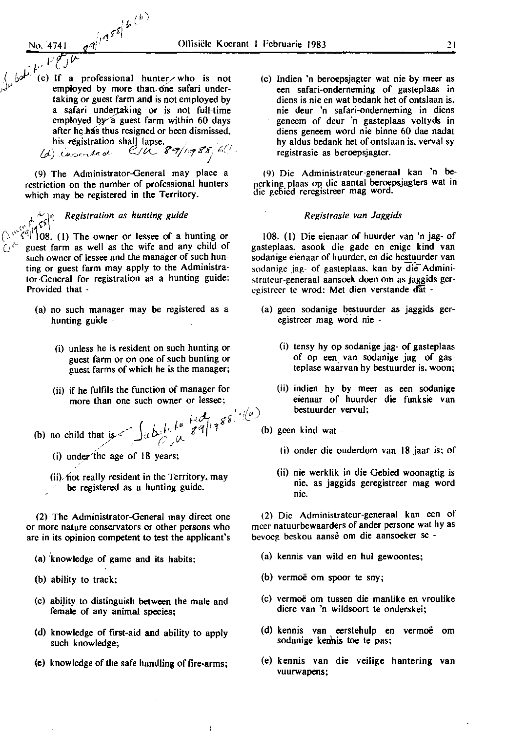- No. 4741 .. · *1ti"*   $\frac{1}{\sqrt{2}}$  if  $\frac{1}{\sqrt{2}}$ 
	- (c) If a professional hunter who is not employed by more than one safari undertaking or guest farm and is not employed by a safari undertaking or is not full-time employed by a guest farm within 60 days after he has thus resigned or been dismissed,

 $\mathcal{L}^{(h)}$ 

his registration shall lapse.<br>(d) cussorted CSU 89/1988;6<sup>(1</sup>)

(9) The Administrator-General may place a restriction on the number of professional hunters which may be registered in the Territory.

## *<sup>&</sup>lt;'* "-' ~~ *Registration as hunting guide*

 $(\sqrt{6})^{\frac{1}{2}}$  (1) The owner or lessee of a hunting or guest farm as well as the wife and any child of such owner of lessee and the manager of such hunting or guest farm may apply to the Administrator-General for registration as a hunting guide: Provided that -

- (a) no such manager may be registered as a hunting guide -
	- (i) unless he is resident on such hunting or guest farm or on one of such hunting or guest farms of which he is the manager;
	- (ii) if he fulfils the function of manager for more than one such owner or lessee;
- (b) no child that  $\int u \, b \, \int u \, e^{i\theta} \, g^{\alpha} \, d\theta$ , (b) /<' : 1.~·· ·'
	- (i) under'the age of 18 years;
	- $(ii)$  hot really resident in the Territory, may be registered as a hunting guide.

(2) The Administrator-General may direct one or more nature conservators or other persons who arc in its opinion competent to test the applicant's

- (a) knowledge of game and its habits;
- (b) ability to track;
- (c) abi!ity to distinguish between the male and female of any animal species;
- (d) knowledge of frrst-aid and ability to apply such knowledge;
- (e) knowledge of the safe handling of fire-arms;

(c) lndien 'n beroepsjagter wat nie by meer as een safari-onderneming of gasteplaas in diens is nie en wat bedank bet of ontslaan is. nie deur 'n safari-onderneming in diens geneem of deur 'n gasteplaas voltyds in diens geneem word nie binne 60 dae nadat hy aldus bedank het of ontslaan is, verval sy registrasie as beroepsjagter.

(9) Die Administratcur-generaal kan 'n beperking plaas op die aantal beroepsjagters wat in die gebied reregistreer mag word.

#### *Registrasie van Jaggids*

108. (I) Die eienaar of huurder van 'n jag- of gasteplaas. asook die gade en enige kind van sodanige eienaar of huurder. en die bestuurder van sodanige jag- of gasteplaas, kan by die Administratcur-generaal aansoek doen om as jaggids gercgistrecr te wrod: Met dien verstande dat -

- (a) geen sodanige bestuurder as jaggids geregistreer mag word nie -
	- (i) tensy hy op sodanige jag- of gasteplaas of op een van sodanige jag- of gasteplase waarvan hy bestuurder is. woon;
	- (ii) indien hy by meer as een sodanige eienaar of huurder die funksie van bestuurder vervul;
- (b) geen kind wat -
	- ( i) onder die ouderdom van 18 jaar is; of
	- (ii) nie werklik in die Gebied woonagtig is nie. as jaggids geregistreer mag word nie.

(2) Die Administrateur-generaal kan een of mcer natuurbewaarders of ander persone wat hy as bevoeg beskou aansê om die aansoeker se -

- (a) kennis van wild en hul gewoontes;
- (b) vermoë om spoor te sny;
- (c) vermoe om tussen die manlike en vroulike diere van 'n wildsoort te onderskei;
- (d) kennis van eerstehulp en vermoe om sodanige kenhis toe te pas;
- (e) kennis van die veilige bantering van vuurwapens;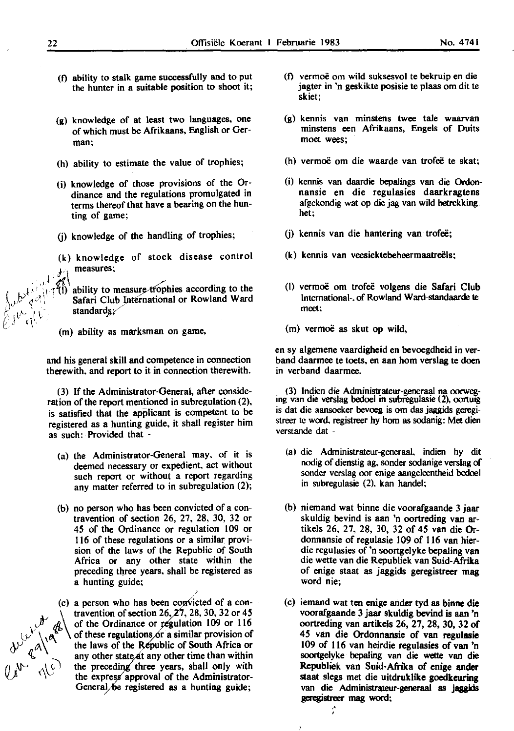- (0 ability to stalk game successfully and to put the hunter in a suitable position to shoot it;
- (g) knowledge of at least two languages, one of which must be Afrikaans, English or Ger**man;**
- (h) ability to estimate the value of trophies;
- (i) knowledge of those provisions of the Ordinance and the regulations promulgated in terms thereof that have a bearing on the hunting of game;
- (j) knowledge of the handling of trophies;
- (k) knowledge of stock disease control measures:
- $\mathscr{A}$ ability to measure trophies according to the Safari Club International or Rowland Ward standards:
	- $(m)$  ability as marksman on game,

and his general skill and competence in connection therewith. and report to it in connection therewith.

(3) If the Administrator-General, after consideration of the report mentioned in subregulation (2), is satisfied that the applicant is competent to be registered as a hunting guide, it shall register him as such: Provided that -

- (a) the Administrator-General may. of it is deemed necessary or expedient. act without such report or without a report regarding any matter referred to in subregulation (2);
- (b) no person who has been convicted of a contravention of section 26, 27, 28, 30, 32 or 45 of the Ordinance or regulation 109 or 116 of these regulations or a similar provision of the laws of the Republic of South Africa or any other state within the preceding three years, shall be registered as a hunting guide;

*/*   $(c)$  a person who has been convicted of a conin rio of travention of section 26, 27, 28, 30, 32 or 45<br>of the Ordinance or regulation 109 or 116<br>of these regulations or a similar provision of the laws of the Republic of South Africa or any other state at any other time than within the preceding three years, shall only with the express approval of the Administrator-General be registered as a hunting guide;

- (0 vermoe om wild suksesvol te bekruip en die jagter in 'n geskikte posisie te plaas om dit te skiet;
- (g) kennis van minstens twee tale waarvan minstens een Afrikaans, Engels of Duits moet wees;
- (h) vermoë om die waarde van trofeë te skat;
- (i) kcnnis van daardie bepalings van die Ordonnansie en die regulasies daarkragtens afgckondig wat op die jag van wild betrekking. het;
- (i) kennis van die hantering van trofeë;
- (k) kennis van veesiektebeheermaatreels;
- (I) vermoe om trofee volgens die Safari Club International-. of Rowland Ward-standaarde te meet:
- (m) vermoe as skut op wild,

en sy algemene vaardigheid en bevoegdheid in verband daarmee te toets, en aan hom verslag te doen in verband daarmee.

(3) Indien die Administrateur-generaal na oorweg-<br>ing van die verslag bedoel in subregulasie (2), oortuig is dat die aansoeker bevoeg is om das jaggids geregistreer tc word. registreer hy hom as sodanig: Met dien verstande dat -

- (a) die Administrateur-generaal. indien hy dit nodig of dienstig ag. sonder sodanige verslag of sonder verslag oor enige aangeleentheid bedoel in subregulasie (2). kan handel;
- (b) niemand wat binne die voorafgaande 3 jaar skuldig bevind is aan 'n oortreding van artikels 26, 27, 28, 30, 32 of 45 van die Ordonnansie of regulasie 109 of 116 van hierdie regulasies of 'n soortgelyke bepaling van die wette van die Republiek van Suid-Afrika of enige staat as jaggids geregistreer mag word nie;
- (c) iemand wat ten enige ander tyd as binne die voorafgaande 3 jaar skuldig bevind is aan 'n oortreding van artikels 26, 27, 28, 30, 32 of 4 *5* van die Ordonnansie of van regulasie 109 of 116 van heirdie regulasies of van 'n soortgelyke bepaling van die wette van die Republiek van Suid-Afrika of enige ander staat slegs met die uitdruklike goedkeuring van die Administrateur-generaal as jaggids geregistreer mag word;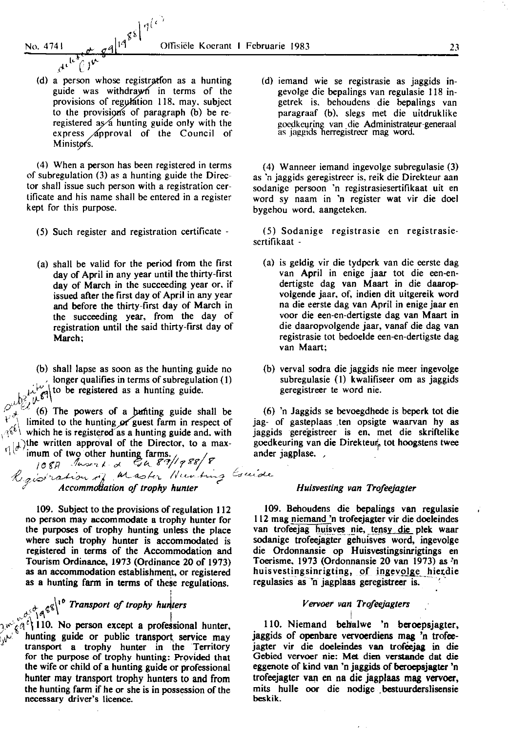$A \stackrel{\text{def}}{=} (A)$ 

(d) a person whose registration as a hunting guide was withdrawn in terms of the provisions of regulation 118. may. subject to the provisions of paragraph  $(b)$  be reregistered as a hunting guide only with the express *Approval* of the Council of Minister's.

 $\eta^{(c)}$ 

(4) When a person has been registered in terms of subregulation (3) as a hunting guide the Director shall issue such person with a registration certificate and his name shall be entered in a register kept for this purpose.

- (5) Such register and registration certificate -
- (a) shall be valid for the period from the first day of April in any year until the thirty-first day of March in the succeeding year or. if issued after the first day of April in any year and before the thirty-first day of March in the succeeding year, from the day of registration until the said thirty-first day of March;
- (b) shall lapse as soon as the hunting guide no longer qualifies in terms of subregulation (1)<br>looking to be registered as a hunting guide.

بنا رجيلها (6) The powers of a bunting guide shall be  $\binom{1}{k}$  limited to the hunting or guest farm in respect of which he is registered as a hunting guide and, with  $\mathcal{L}$ .  $\mathcal{L}$  as a hunting guide and, with left  $\mathcal{L}$ . )the written approval of the Director, to a max- $\mathcal{L}[\phi]$  imum of two other hunting farms.<br> $\mathcal{L}[\phi]$  imum of two other hunting farms.

108A Juseph de Ca 89/1988/8<br>Ligib<sup>r</sup>ation of Master Hunting Csuide *c Accomm ation of trophy hunter* 

109. Subject to the provisions of regulation 112 no person may accommodate a trophy hunter for the purposes of trophy hunting unless the place where such trophy hunter is accommodated is registered in terms of the Accommodation and Tourism Ordinance, 1973 (Ordinance 20 of 1973) as an accommodation establishment, or registered as a hunting farm in terms of these regulations.

i

 $_{\dot{\sigma}}$   $_{\dot{\sigma}}$   $_{\dot{\sigma}}$ <sup>{'</sup> *Transport of trophy hunters*  $n_0$ <sup>c</sup><sub>1</sub> $\frac{1}{10^{6}}$  a<sup>6b</sup>1

 $\mathbb{R}^{w}$  (4<sup>c</sup>) 110. No person except a professional hunter,  $\mathcal{F}_{\mathbf{u}}$ . hunting guide or public transport service may transport a trophy hunter in the Territory for the purpose of trophy hunting: Provided that the wife or child of a hunting guide or professional hunter may transport trophy hunters to and from the hunting farm if he or she is in possession of the **necessary driver's licence.** ·

(d) iemand wie se registrasie as jaggids ingevolge die bepalings van regulasie 118 ingetrek is. behoudens die bepalings van paragraaf (b). slegs met die uitdruklike goedkeuring van die Administrateur-generaal as jaggids herregistreer mag word.

(4) Wanneer iemand ingevolge subregulasie (3) as 'n jaggids geregistreer is. reik die Direkteur aan sodanige persoon 'n registrasiesertifikaat uit en word sy naam in 'n register wat vir die doel bygehou word. aangeteken.

(5) Sodanige registrasie en registrasiescrtifikaat -

- (a) is geldig vir die tydperk van die eerste dag van April in enige jaar tot die een-endertigste dag van Maart in die daaropvolgende jaar. of, indien dit uitgereik word na die eerste dag van April in enige jaar en voor die een-en-dertigste dag van Maart in die daaropvolgende jaar, vanaf die dag van registrasie tot bedoelde een-en-dertigste dag van Maart:
- (b) verval sodra die jaggids nie meer ingevolge subregulasie (I) kwalifiseer om as jaggids geregistreer te word nie.

(6) 'n Jaggids se bevoegdhede is beperk tot die jag- of gasteplaas .ten opsigte waarvan hy as jaggids geregistreer is en. met die skriftelike goedkeuring van die Direkteur, tot hoogstens twee

#### *Huisvesting van Trofeejagter*

109. Behoudens die bepalings van regulasie 112 mag niemand 'n trofeejagter vir die doeleindes van trofeejag huisves nie, tensy die plek waar sodanige trofeejagter gehuisves word, ingevolge die Ordonnansie op Huisvestingsinrigtings en Toerisme. 1973 (Ordonnansie 20 van 1973) as 'n huisvestingsinrigting, of ingevolge hierdie regulasies as 'n jagplaas geregistreer is.

#### *V ervoer van Trofeejagters*

I 110. Niemand behalwe 'n beroepsjagter, jaggids of openbare vervoerdiens mag 'n trofeejagter vir die doeleindes van trofeejag in die Gebied vervoer nie: Met dien verstande dat die eggenote of kind van 'n jaggids of beroepsjagter 'n trofeejagter van en na die jagplaas mag vervoer, mits hulle oor die nodige . bestuurderslisensie beskik.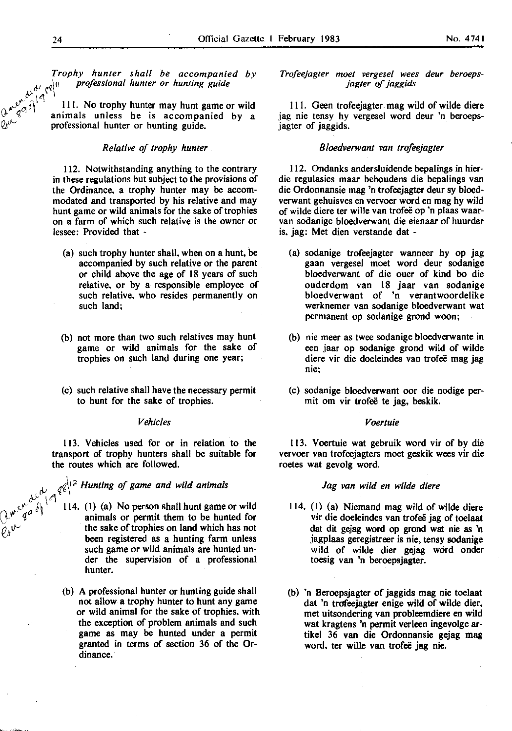*,})* ~~\" *professional hunter or hunting guide* 

*Trophy hunter shall be accompanied by*<br>  $\mathcal{P}^{\text{out}}$   $\mathcal{P}^{\text{out}}$   $\mathcal{P}^{\text{out}}$  *professional hunter or hunting guide*<br>  $\mathcal{P}^{\text{out}}$   $\mathcal{P}^{\text{out}}$   $\mathcal{P}^{\text{out}}$   $\mathcal{P}^{\text{out}}$  animals unless. 111. No trophy hunter may hunt game or wild animals unless he is accompanied by a professional hunter or hunting guide.

#### *Relative of trophy hunter*

112. Notwithstanding anything to the contrary in these regulations but subject to the provisions of the Ordinance. a trophy hunter may be accommodated and transported by his relative and may hunt game or wild animals for the sake of trophies on a farm of which such relative is the owner or lessee: Provided that -

- (a) such trophy hunter shall. when on a hunt, be accompanied by such relative or the parent or child above the age of 18 years of such relative, or by a responsible employee of such relative, who resides permanently on such land;
- (b) not more than two such relatives may hunt game or wild animals for the sake of trophies on such land during one year;
- (c) such relative shall have the necessary permit to hunt for the sake of trophies.

#### *Vehicles*

113. Vehicles used for or in relation to the transport of trophy hunters shall be suitable for the routes which are followed.

#### $\mu_{\mathcal{A}} \in \mathcal{A}^{\{1\}^2}$  Hunting of game and wild animals

- $\frac{d^{10}}{dx^{10}}$  114. (1) (a) No person shall hunt game or wild  $\mathcal{H}^{\mathcal{W}}$   $\mathcal{H}^{\mathcal{U}}$  animals or permit them to be hunted for  $\tilde{\rho}_{\lambda}$ <sup>V</sup> the sake of trophies on land which has not been registered as a hunting farm unless such game or wild animals are hunted under the supervision of a professional hunter.
	- (b) A professional hunter or hunting guide shall not allow a trophy hunter to hunt any game or wild animal for the sake of trophies. with the exception of problem animals and such game as may be hunted under a permit granted in terms of section 36 of the Ordinance.

#### *Trqfeejagter moet vergesel wees deur beroepsjagter of jaggids*

Ill. Geen trofeejagter mag wild of wilde diere jag nie tensy hy vergesel word deur 'n beroepsjagter of jaggids.

#### *Bloedverwant van trofeejagter*

112. Ondanks andersluidende bepalings in bierdie regulasies maar behoudens die bepalings van die Ordonnansie mag 'n trofeejagter deur sy bloedverwant gehuisves en vervoer word en mag hy wild of wilde diere ter wille van trofee op 'n plaas waarvan sodanige bloedverwant die eienaar of huurder is. jag: Met dien verstande dat -

- (a) sodanige trofeejagter wanneer by op jag gaan vergesel moet word deur sodanige bloedverwant of die ouer of kind bo die ouderdom van 18 jaar van sodanige bloedverwant of 'n verantwoordelike werknemer van sodanige bloedverwant wat permanent op sodanige grond woon;
- (b) nie meer as twee sodanige bloedverwante in een jaar op sodanige grond wild of wilde diere vir die doeleindes van trofeë mag jag **nie;**
- (c) sodanige bloedverwant oor die nodige permit om vir trofee te jag, beskik.

#### *Voertuie*

113. V oertuie wat gebruik word vir of by die vervoer van trofeejagters moet geskik wees vir die roetes wat gevolg word.

#### *Jag van wild en wi/de diere*

- 114. {I) {a) Niemand mag wild of wilde diere vir die doeleindes van trofeë jag of toelaat dat dit gejag word op grond wat nie as 'n jagplaas geregistreer is nie, tensy sodanige wild of wilde dier gejag word onder toesig van 'n beroepsjagter.
- (b) 'n Beroepsjagter of jaggids mag nie toelaat dat 'n trofeejagter enige wild of wilde dier, met uitsondering van probleemdiere en wild wat kragtens 'n permit verleen ingevolge artikel 36 van die Ordonnansie gejag mag word, ter wille van trofeë jag nie.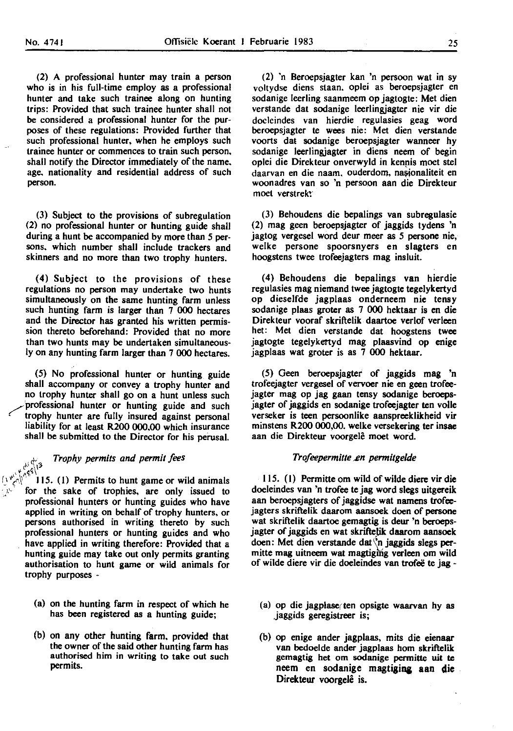(2) A professional hunter may train a person who is in his full-time employ as a professional hunter and take such trainee along on hunting trips: Provided that such trainee hunter shall not be considered a professional hunter for the purposes of these regulations: Provided further that such professional hunter, when he employs such trainee hunter or commences to train such person. shall notify the Director immediately of the name. age. nationality and residential address of such person.

(3) Subject to the provisions of subregulation (2) no professional hunter or hunting guide shall during a hunt be accompanied by more than 5 persons. which number shall include trackers and skinners and no more than two trophy hunters.

(4) Subject to the provisions of these regulations no person may undertake two hunts simultaneously on the same hunting farm unless such hunting farm is larger than 7 000 hectares and the Director has granted his written permission thereto beforehand: Provided that no more than two hunts may be undertaken simultaneously on any hunting farm larger than 7 000 hectares.

(5) No professional hunter or hunting guide shall accompany or convey a trophy hunter and no trophy hunter shall go on a hunt unless such professional hunter or hunting guide and such trophy hunter are fully insured against personal liability for at least R200 000.00 which insurance shall be submitted to the Director for his perusal.

## *Trophy permits and permit fees*  $\frac{1}{1^3}$  (I) Permits to hunt game or wild animals

for the sake of trophies, are only issued to professional hunters or hunting guides who have applied in writing on behalf of trophy hunters, or persons authorised in writing thereto by such professional hunters or hunting guides and who have applied in writing therefore: Provided that a hunting guide may take out only permits granting authorisation to hunt game or wild animals for trophy purposes -

- (a) on the hunting farm in respect of which he has been registered as a hunting guide;
- (b) on any other hunting farm. provided that the owner of the said other hunting farm has authorised him in writing to take out such permits.

(2) 'n Beroepsjagter kan 'n persoon wat in sy voltydse diens staan. oplei as beroepsjagter en sodanige leerling saanmeem op jagtogte: Met dien verstande dat sodanige leerlingjagter nie vir die doclcindes van hierdie regulasies geag word beroepsjagter te wees nie: Met dien verstande voorts dat sodanige beroepsjagter wanneer by sodanige leerlingiagter in diens neem of begin oplei die Direkteur onverwyld in kennis moet stel daarvan en die naam. ouderdom, nasionaliteit en woonadres van so 'n persoon aan die Direkteur moet verstrekt:

(3) Behoudens die bepalings van subregulasie (2) mag geen beroepsjagter of jaggids tydens 'n jagtog vergesel word deur meer as 5 persone nie, welke persone spoorsnyers en slagters en hoogstens twee trofeejagters mag insluit.

(4) Behoudens die bepalings van hierdie regulasies mag niemand twee jagtogte tegelykertyd op dieselfde jagplaas onderneem nie tensy sodanige plaas groter as 7 000 hektaar is en die Direkteur vooraf skriftelik daartoe verlof verleen het: Met dien verstande dat hoogstens twee jagtogte tegelykertyd mag plaasvind op enige jagplaas wat groter is as 7 000 hektaar.

(5) Geen beroepsjagter of jaggids mag 'n trofeejagter vergesel of vervoer nie en geen trofeejagter mag op jag gaan tensy sodanige beroepsjagter of jaggids en sodanige trofeejagter ten volle verseker is teen persoonlike aanspreeklikheid vir minstens R200 000,00. welke versekering ter insae aan die Direkteur voorgele moet word.

#### *Trofeepermitte* ~n *permitgelde*

115. (I) Permitte om wild of wilde diere vir die doeleindes van 'n trofee te jag word slegs uitgereik aan beroepsjagters of jaggidse wat namens trofeejagters skriftelik daarom aansoek doen of persone wat skriftelik daartoe gemagtig is deur 'n beroepsjagter of jaggids en wat skriftelik daarom aansoek doen: Met dien verstande dat $\Diamond$ n jaggids slegs permitte mag uitneem wat magtiging verleen om wild of wilde diere vir die doeleindes van trofee te jag -

- (a) op die jagplase ten opsigte waarvan hy as jaggids geregistreer is;
- (b) op enige ander jagplaas, mits die eienaar van bedoelde ander jagplaas hom skriftelik gemagtig het om sodanige permitte uit te neem en sodanige magtiging aan die Direkteur voorgelê is.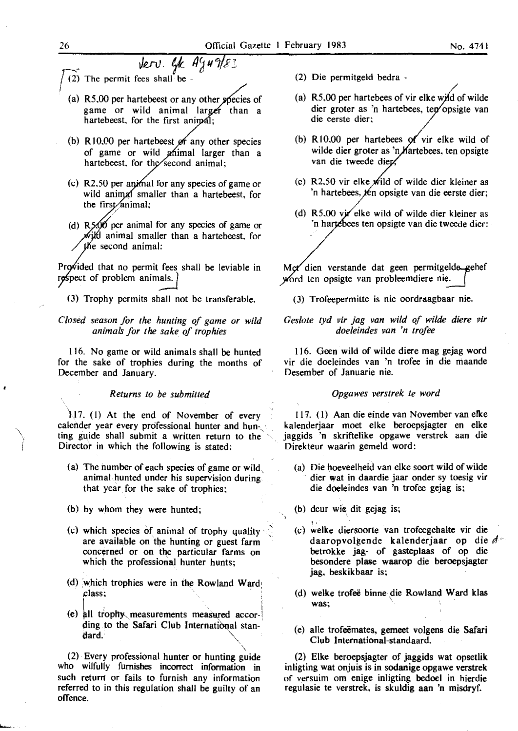- Jerv. Gk Ag49/83  $(2)$  The permit fees shall be -
	- (a)  $R5,00$  per hartebeest or any other species of game or wild animal larger than a hartebeest, for the first animal:
	- (b)  $R10,00$  per hartebeest of any other species of game or wild *phimal larger than a* hartebeest, for the second animal;
	- (c) R2.50 per animal for any species of game or wild animal smaller than a hartebeest, for the first animal;
	- (d)  $R\frac{5}{90}$  per animal for any species of game or wild animal smaller than a hartebeest, for the second animal:

Provided that no permit fees shall be leviable in respect of problem animals.

(3) Trophy permits shall not be transferable.

*Closed season for the hunting of game or wild animals for the sake of trophies* 

116. No game or wild animals shall be hunted for the sake of trophies during the months of December and January.

*Returns to be submitted* 

) 17. (I) At the end of November of every calender year every professional hunter and hunting guide shall submit a written return to the Director in which the following is stated:

- (a) The number of each species of game or wild, animal hunted under his supervision during that year for the sake of trophies;
- (b) by whom they were hunted;
- (c) which species of animal of trophy quality are available on the hunting or guest farm concerned or on the particular farms on which the professional hunter hunts;
- (d) which trophies were in the Rowland Ward class;
- (e) all trophy measurements measured according to the Safari Club International standard.  $\bigcup$

 $(2)$  Every professional hunter or hunting guide who wilfully furnishes incorrect information in such return or fails to furnish any information referred to in this regulation shall be guilty of an offence.

- (2) Die permitgeld bedra -
- / (a)  $R5,00$  per hartebees of vir elke wild of wilde dier groter as 'n hartebees, ten opsigte van die eerste dier:
- (b) R10.00 per hartebees of vir elke wild of wilde dier groter as 'n *Martebees*, ten opsigte van die tweede dier.
- (c) R2.50 vir elke wild of wilde dier kleiner as 'n hartebees, ten opsigte van die eerste dier;
- (d)  $R5.00$  vir elke wild of wilde dier kleiner as 'n hartebees ten opsigte van die tweede dier:

Met dien verstande dat geen permitgelde gehef word ten opsigte van probleemdiere nie.

(3) Trofeepermitte is nie oordraagbaar nie.

#### *Ges/ote tyd vir jag van wild of wilde diere vir doe/eindes van 'n trofee*

116. Geen wild of wilde diere mag gejag word vir die doeleindes van 'n trofee in die maande Desember of Januarie nie.

#### *Opgawes verstrek te word*

117. (I) Aan die einde van November van elke kalenderjaar moet elke beroepsjagter en elke jaggids 'n skriftelike opgawe verstrek aan die Direkteur waarin gemeld word:

- (a) Die hoeveelheid van elke soort wild of wilde dier wat in daardie jaar onder sy toesig vir die doeleindes van 'n trofee gejag is;
- (b) deur wie dit gejag is;

'•

- . ' (c) welke diersoorte van trofeegehalte vir die daaropvolgende kalenderjaar op die *<sup>d</sup>*·· betrokke jag- of gasteplaas of op die besondere plase waarop die beroepsjagter jag. beskikbaar is;
- (d) welke trofee binne.die Rowland Ward klas was:
- (e) aile trofeemates, gemeet volgens die Safari Club International-standaard.

(2) Elke beroepsjagter of jaggids wat opsetlik inligting wat onjuis is in sodanige opgawe verstrek of versuim om enige inligting bedoel in hierdie regulasie te verstrek, is skuldig aan 'n misdryf.

 $\checkmark$ i